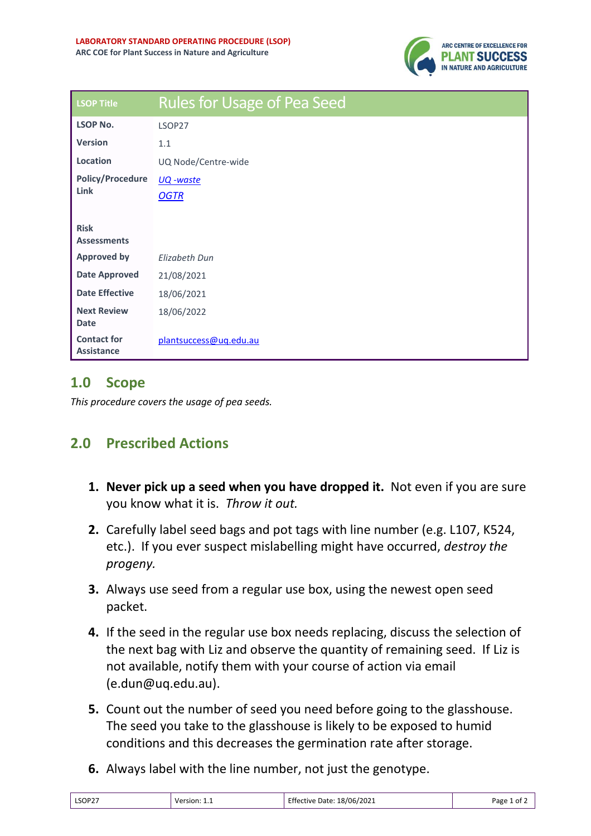

| <b>LSOP Title</b>                       | <b>Rules for Usage of Pea Seed</b> |
|-----------------------------------------|------------------------------------|
| <b>LSOP No.</b>                         | LSOP27                             |
| <b>Version</b>                          | 1.1                                |
| Location                                | UQ Node/Centre-wide                |
| <b>Policy/Procedure</b><br><b>Link</b>  | <u> UQ -waste</u><br><b>OGTR</b>   |
| <b>Risk</b><br><b>Assessments</b>       |                                    |
| <b>Approved by</b>                      | Elizabeth Dun                      |
| <b>Date Approved</b>                    | 21/08/2021                         |
| <b>Date Effective</b>                   | 18/06/2021                         |
| <b>Next Review</b><br><b>Date</b>       | 18/06/2022                         |
| <b>Contact for</b><br><b>Assistance</b> | plantsuccess@ug.edu.au             |

## **1.0 Scope**

*This procedure covers the usage of pea seeds.*

## **2.0 Prescribed Actions**

- **1. Never pick up a seed when you have dropped it.** Not even if you are sure you know what it is. *Throw it out.*
- **2.** Carefully label seed bags and pot tags with line number (e.g. L107, K524, etc.). If you ever suspect mislabelling might have occurred, *destroy the progeny.*
- **3.** Always use seed from a regular use box, using the newest open seed packet.
- **4.** If the seed in the regular use box needs replacing, discuss the selection of the next bag with Liz and observe the quantity of remaining seed. If Liz is not available, notify them with your course of action via email (e.dun@uq.edu.au).
- **5.** Count out the number of seed you need before going to the glasshouse. The seed you take to the glasshouse is likely to be exposed to humid conditions and this decreases the germination rate after storage.
- **6.** Always label with the line number, not just the genotype.

| Effective Date: 18/06/2021<br>LSOP27<br>Version: $1.1$ | Page 1 of $\angle$ |
|--------------------------------------------------------|--------------------|
|--------------------------------------------------------|--------------------|